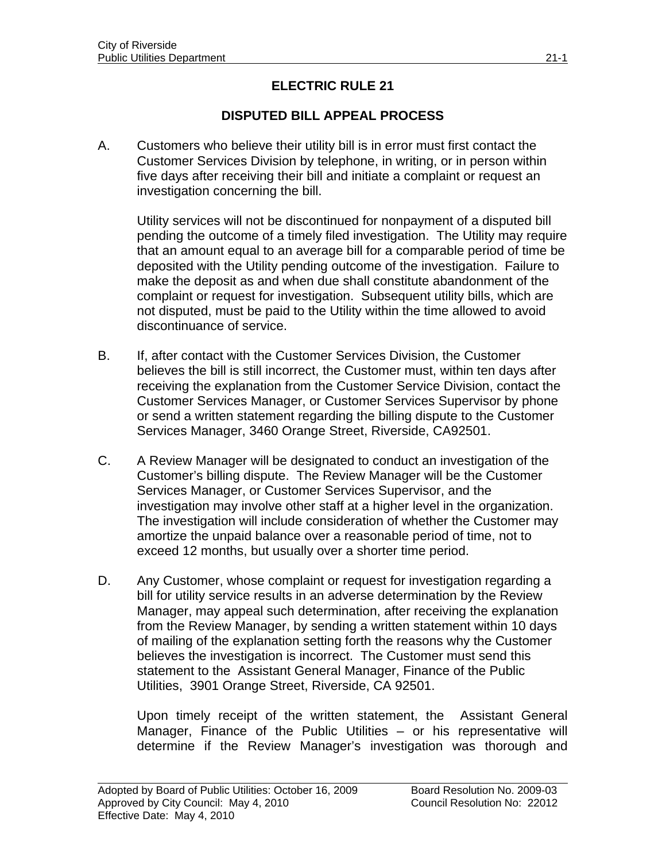## **ELECTRIC RULE 21**

## **DISPUTED BILL APPEAL PROCESS**

A. Customers who believe their utility bill is in error must first contact the Customer Services Division by telephone, in writing, or in person within five days after receiving their bill and initiate a complaint or request an investigation concerning the bill.

 Utility services will not be discontinued for nonpayment of a disputed bill pending the outcome of a timely filed investigation. The Utility may require that an amount equal to an average bill for a comparable period of time be deposited with the Utility pending outcome of the investigation. Failure to make the deposit as and when due shall constitute abandonment of the complaint or request for investigation. Subsequent utility bills, which are not disputed, must be paid to the Utility within the time allowed to avoid discontinuance of service.

- B. If, after contact with the Customer Services Division, the Customer believes the bill is still incorrect, the Customer must, within ten days after receiving the explanation from the Customer Service Division, contact the Customer Services Manager, or Customer Services Supervisor by phone or send a written statement regarding the billing dispute to the Customer Services Manager, 3460 Orange Street, Riverside, CA92501.
- C. A Review Manager will be designated to conduct an investigation of the Customer's billing dispute. The Review Manager will be the Customer Services Manager, or Customer Services Supervisor, and the investigation may involve other staff at a higher level in the organization. The investigation will include consideration of whether the Customer may amortize the unpaid balance over a reasonable period of time, not to exceed 12 months, but usually over a shorter time period.
- D. Any Customer, whose complaint or request for investigation regarding a bill for utility service results in an adverse determination by the Review Manager, may appeal such determination, after receiving the explanation from the Review Manager, by sending a written statement within 10 days of mailing of the explanation setting forth the reasons why the Customer believes the investigation is incorrect. The Customer must send this statement to the Assistant General Manager, Finance of the Public Utilities, 3901 Orange Street, Riverside, CA 92501.

 Upon timely receipt of the written statement, the Assistant General Manager, Finance of the Public Utilities – or his representative will determine if the Review Manager's investigation was thorough and